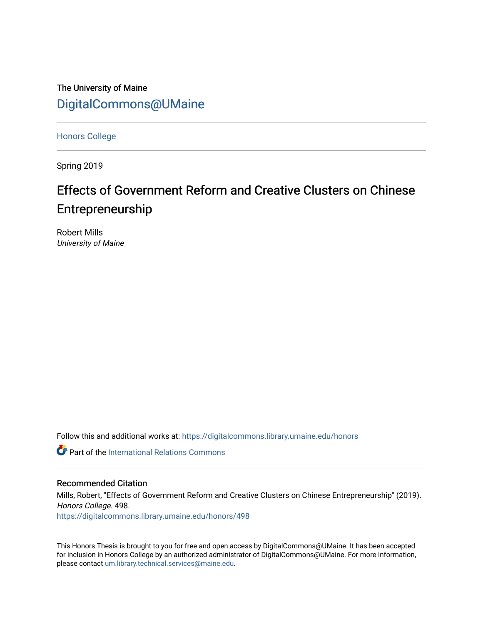The University of Maine [DigitalCommons@UMaine](https://digitalcommons.library.umaine.edu/)

[Honors College](https://digitalcommons.library.umaine.edu/honors)

Spring 2019

# Effects of Government Reform and Creative Clusters on Chinese Entrepreneurship

Robert Mills University of Maine

Follow this and additional works at: [https://digitalcommons.library.umaine.edu/honors](https://digitalcommons.library.umaine.edu/honors?utm_source=digitalcommons.library.umaine.edu%2Fhonors%2F498&utm_medium=PDF&utm_campaign=PDFCoverPages) 

**C** Part of the International Relations Commons

#### Recommended Citation

Mills, Robert, "Effects of Government Reform and Creative Clusters on Chinese Entrepreneurship" (2019). Honors College. 498.

[https://digitalcommons.library.umaine.edu/honors/498](https://digitalcommons.library.umaine.edu/honors/498?utm_source=digitalcommons.library.umaine.edu%2Fhonors%2F498&utm_medium=PDF&utm_campaign=PDFCoverPages) 

This Honors Thesis is brought to you for free and open access by DigitalCommons@UMaine. It has been accepted for inclusion in Honors College by an authorized administrator of DigitalCommons@UMaine. For more information, please contact [um.library.technical.services@maine.edu.](mailto:um.library.technical.services@maine.edu)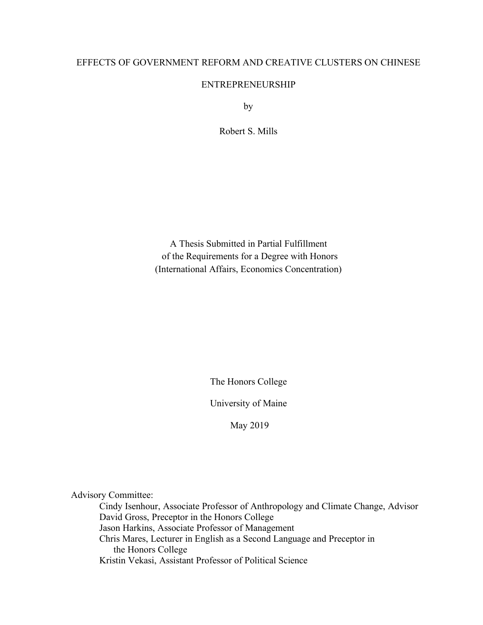# EFFECTS OF GOVERNMENT REFORM AND CREATIVE CLUSTERS ON CHINESE

# ENTREPRENEURSHIP

by

Robert S. Mills

A Thesis Submitted in Partial Fulfillment of the Requirements for a Degree with Honors (International Affairs, Economics Concentration)

The Honors College

University of Maine

May 2019

Advisory Committee:

Cindy Isenhour, Associate Professor of Anthropology and Climate Change, Advisor David Gross, Preceptor in the Honors College Jason Harkins, Associate Professor of Management Chris Mares, Lecturer in English as a Second Language and Preceptor in the Honors College Kristin Vekasi, Assistant Professor of Political Science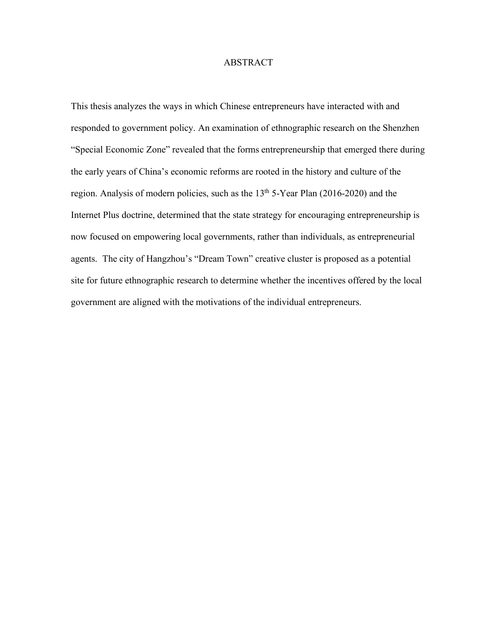#### ABSTRACT

This thesis analyzes the ways in which Chinese entrepreneurs have interacted with and responded to government policy. An examination of ethnographic research on the Shenzhen "Special Economic Zone" revealed that the forms entrepreneurship that emerged there during the early years of China's economic reforms are rooted in the history and culture of the region. Analysis of modern policies, such as the  $13<sup>th</sup> 5$ -Year Plan (2016-2020) and the Internet Plus doctrine, determined that the state strategy for encouraging entrepreneurship is now focused on empowering local governments, rather than individuals, as entrepreneurial agents. The city of Hangzhou's "Dream Town" creative cluster is proposed as a potential site for future ethnographic research to determine whether the incentives offered by the local government are aligned with the motivations of the individual entrepreneurs.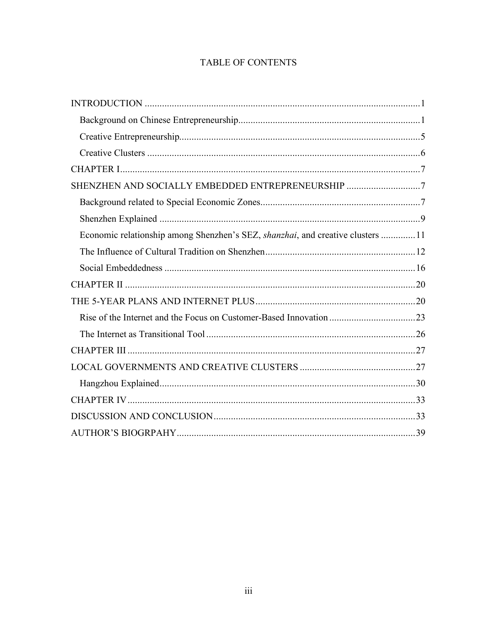# TABLE OF CONTENTS

| SHENZHEN AND SOCIALLY EMBEDDED ENTREPRENEURSHIP 7                              |  |
|--------------------------------------------------------------------------------|--|
|                                                                                |  |
|                                                                                |  |
| Economic relationship among Shenzhen's SEZ, shanzhai, and creative clusters 11 |  |
|                                                                                |  |
|                                                                                |  |
|                                                                                |  |
|                                                                                |  |
|                                                                                |  |
|                                                                                |  |
|                                                                                |  |
|                                                                                |  |
|                                                                                |  |
|                                                                                |  |
|                                                                                |  |
|                                                                                |  |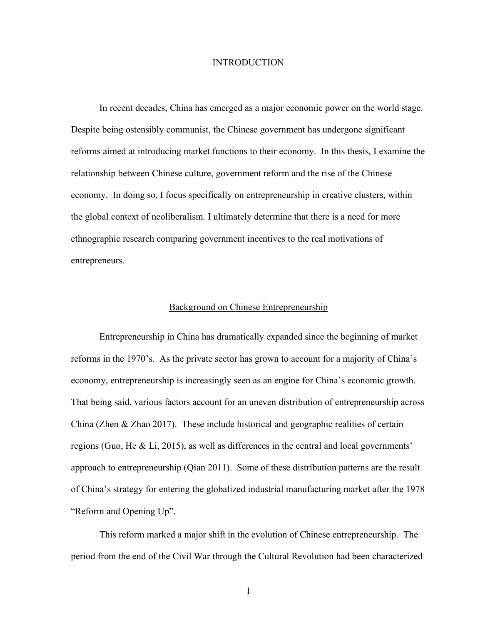#### **INTRODUCTION**

In recent decades, China has emerged as a major economic power on the world stage. Despite being ostensibly communist, the Chinese government has undergone significant reforms aimed at introducing market functions to their economy. In this thesis, I examine the relationship between Chinese culture, government reform and the rise of the Chinese economy. In doing so, I focus specifically on entrepreneurship in creative clusters, within the global context of neoliberalism. I ultimately determine that there is a need for more ethnographic research comparing government incentives to the real motivations of entrepreneurs.

#### Background on Chinese Entrepreneurship

Entrepreneurship in China has dramatically expanded since the beginning of market reforms in the 1970's. As the private sector has grown to account for a majority of China's economy, entrepreneurship is increasingly seen as an engine for China's economic growth. That being said, various factors account for an uneven distribution of entrepreneurship across China (Zhen & Zhao 2017). These include historical and geographic realities of certain regions (Guo, He & Li, 2015), as well as differences in the central and local governments' approach to entrepreneurship (Qian 2011). Some of these distribution patterns are the result of China's strategy for entering the globalized industrial manufacturing market after the 1978 "Reform and Opening Up".

This reform marked a major shift in the evolution of Chinese entrepreneurship. The period from the end of the Civil War through the Cultural Revolution had been characterized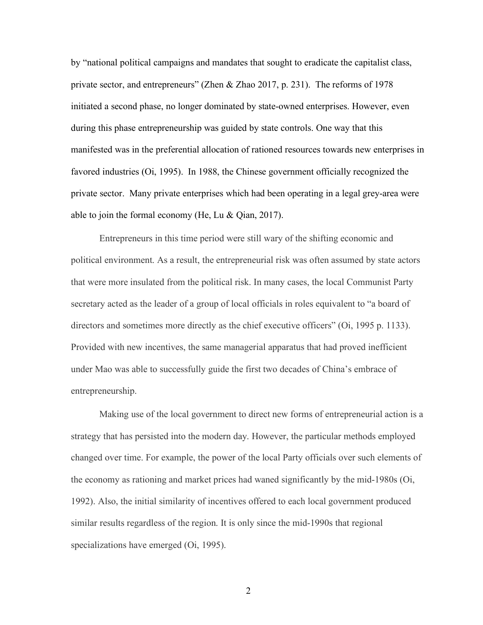by "national political campaigns and mandates that sought to eradicate the capitalist class, private sector, and entrepreneurs" (Zhen & Zhao 2017, p. 231). The reforms of 1978 initiated a second phase, no longer dominated by state-owned enterprises. However, even during this phase entrepreneurship was guided by state controls. One way that this manifested was in the preferential allocation of rationed resources towards new enterprises in favored industries (Oi, 1995). In 1988, the Chinese government officially recognized the private sector. Many private enterprises which had been operating in a legal grey-area were able to join the formal economy (He, Lu & Qian, 2017).

Entrepreneurs in this time period were still wary of the shifting economic and political environment. As a result, the entrepreneurial risk was often assumed by state actors that were more insulated from the political risk. In many cases, the local Communist Party secretary acted as the leader of a group of local officials in roles equivalent to "a board of directors and sometimes more directly as the chief executive officers" (Oi, 1995 p. 1133). Provided with new incentives, the same managerial apparatus that had proved inefficient under Mao was able to successfully guide the first two decades of China's embrace of entrepreneurship.

Making use of the local government to direct new forms of entrepreneurial action is a strategy that has persisted into the modern day. However, the particular methods employed changed over time. For example, the power of the local Party officials over such elements of the economy as rationing and market prices had waned significantly by the mid-1980s (Oi, 1992). Also, the initial similarity of incentives offered to each local government produced similar results regardless of the region. It is only since the mid-1990s that regional specializations have emerged (Oi, 1995).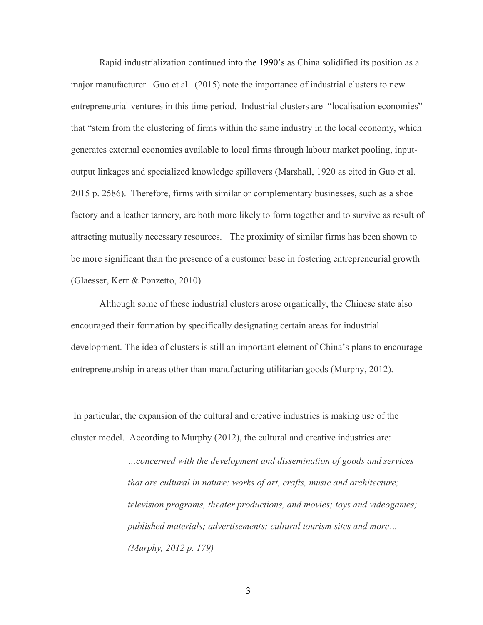Rapid industrialization continued into the 1990's as China solidified its position as a major manufacturer. Guo et al. (2015) note the importance of industrial clusters to new entrepreneurial ventures in this time period. Industrial clusters are "localisation economies" that "stem from the clustering of firms within the same industry in the local economy, which generates external economies available to local firms through labour market pooling, inputoutput linkages and specialized knowledge spillovers (Marshall, 1920 as cited in Guo et al. 2015 p. 2586). Therefore, firms with similar or complementary businesses, such as a shoe factory and a leather tannery, are both more likely to form together and to survive as result of attracting mutually necessary resources. The proximity of similar firms has been shown to be more significant than the presence of a customer base in fostering entrepreneurial growth (Glaesser, Kerr & Ponzetto, 2010).

Although some of these industrial clusters arose organically, the Chinese state also encouraged their formation by specifically designating certain areas for industrial development. The idea of clusters is still an important element of China's plans to encourage entrepreneurship in areas other than manufacturing utilitarian goods (Murphy, 2012).

In particular, the expansion of the cultural and creative industries is making use of the cluster model. According to Murphy (2012), the cultural and creative industries are:

> *…concerned with the development and dissemination of goods and services that are cultural in nature: works of art, crafts, music and architecture; television programs, theater productions, and movies; toys and videogames; published materials; advertisements; cultural tourism sites and more… (Murphy, 2012 p. 179)*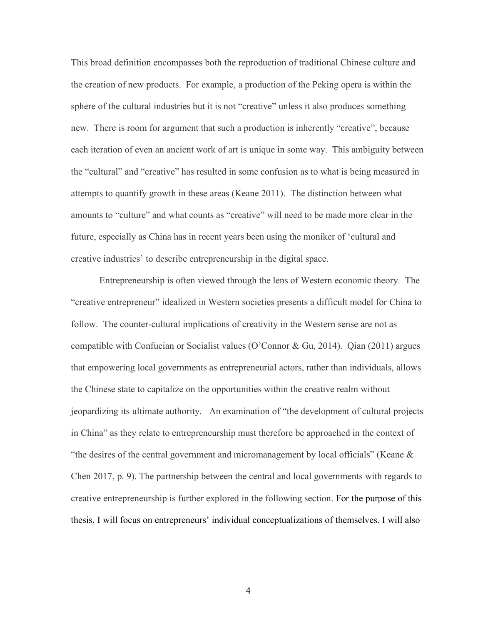This broad definition encompasses both the reproduction of traditional Chinese culture and the creation of new products. For example, a production of the Peking opera is within the sphere of the cultural industries but it is not "creative" unless it also produces something new. There is room for argument that such a production is inherently "creative", because each iteration of even an ancient work of art is unique in some way. This ambiguity between the "cultural" and "creative" has resulted in some confusion as to what is being measured in attempts to quantify growth in these areas (Keane 2011). The distinction between what amounts to "culture" and what counts as "creative" will need to be made more clear in the future, especially as China has in recent years been using the moniker of 'cultural and creative industries' to describe entrepreneurship in the digital space.

Entrepreneurship is often viewed through the lens of Western economic theory. The "creative entrepreneur" idealized in Western societies presents a difficult model for China to follow. The counter-cultural implications of creativity in the Western sense are not as compatible with Confucian or Socialist values (O'Connor & Gu, 2014). Qian (2011) argues that empowering local governments as entrepreneurial actors, rather than individuals, allows the Chinese state to capitalize on the opportunities within the creative realm without jeopardizing its ultimate authority. An examination of "the development of cultural projects in China" as they relate to entrepreneurship must therefore be approached in the context of "the desires of the central government and micromanagement by local officials" (Keane  $\&$ Chen 2017, p. 9). The partnership between the central and local governments with regards to creative entrepreneurship is further explored in the following section. For the purpose of this thesis, I will focus on entrepreneurs' individual conceptualizations of themselves. I will also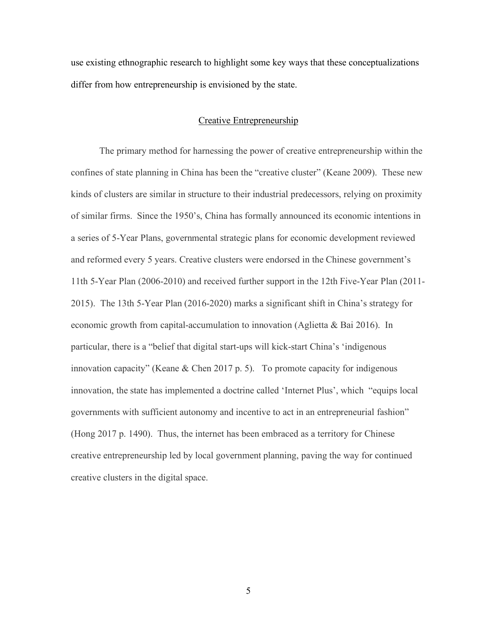use existing ethnographic research to highlight some key ways that these conceptualizations differ from how entrepreneurship is envisioned by the state.

#### Creative Entrepreneurship

The primary method for harnessing the power of creative entrepreneurship within the confines of state planning in China has been the "creative cluster" (Keane 2009). These new kinds of clusters are similar in structure to their industrial predecessors, relying on proximity of similar firms. Since the 1950's, China has formally announced its economic intentions in a series of 5-Year Plans, governmental strategic plans for economic development reviewed and reformed every 5 years. Creative clusters were endorsed in the Chinese government's 11th 5-Year Plan (2006-2010) and received further support in the 12th Five-Year Plan (2011- 2015). The 13th 5-Year Plan (2016-2020) marks a significant shift in China's strategy for economic growth from capital-accumulation to innovation (Aglietta & Bai 2016). In particular, there is a "belief that digital start-ups will kick-start China's 'indigenous innovation capacity" (Keane & Chen 2017 p. 5). To promote capacity for indigenous innovation, the state has implemented a doctrine called 'Internet Plus', which "equips local governments with sufficient autonomy and incentive to act in an entrepreneurial fashion" (Hong 2017 p. 1490). Thus, the internet has been embraced as a territory for Chinese creative entrepreneurship led by local government planning, paving the way for continued creative clusters in the digital space.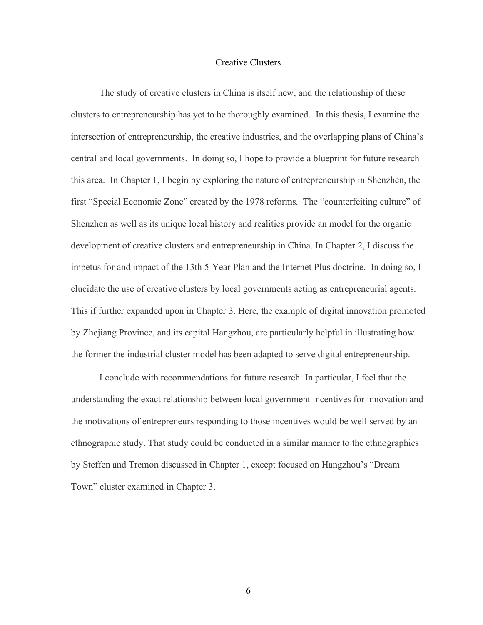#### Creative Clusters

The study of creative clusters in China is itself new, and the relationship of these clusters to entrepreneurship has yet to be thoroughly examined. In this thesis, I examine the intersection of entrepreneurship, the creative industries, and the overlapping plans of China's central and local governments. In doing so, I hope to provide a blueprint for future research this area. In Chapter 1, I begin by exploring the nature of entrepreneurship in Shenzhen, the first "Special Economic Zone" created by the 1978 reforms. The "counterfeiting culture" of Shenzhen as well as its unique local history and realities provide an model for the organic development of creative clusters and entrepreneurship in China. In Chapter 2, I discuss the impetus for and impact of the 13th 5-Year Plan and the Internet Plus doctrine. In doing so, I elucidate the use of creative clusters by local governments acting as entrepreneurial agents. This if further expanded upon in Chapter 3. Here, the example of digital innovation promoted by Zhejiang Province, and its capital Hangzhou, are particularly helpful in illustrating how the former the industrial cluster model has been adapted to serve digital entrepreneurship.

I conclude with recommendations for future research. In particular, I feel that the understanding the exact relationship between local government incentives for innovation and the motivations of entrepreneurs responding to those incentives would be well served by an ethnographic study. That study could be conducted in a similar manner to the ethnographies by Steffen and Tremon discussed in Chapter 1, except focused on Hangzhou's "Dream Town" cluster examined in Chapter 3.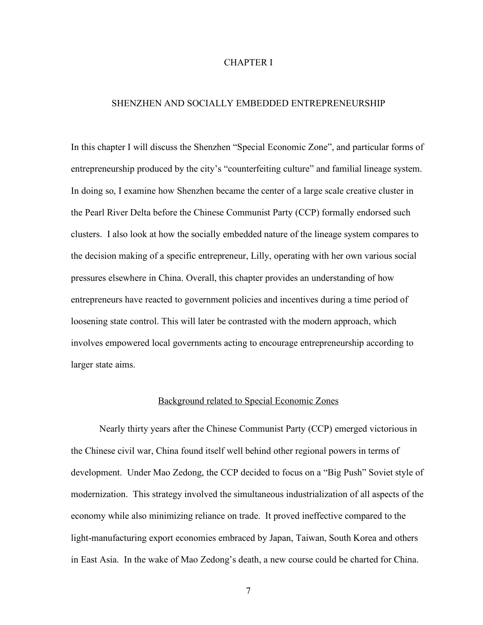#### CHAPTER I

#### SHENZHEN AND SOCIALLY EMBEDDED ENTREPRENEURSHIP

In this chapter I will discuss the Shenzhen "Special Economic Zone", and particular forms of entrepreneurship produced by the city's "counterfeiting culture" and familial lineage system. In doing so, I examine how Shenzhen became the center of a large scale creative cluster in the Pearl River Delta before the Chinese Communist Party (CCP) formally endorsed such clusters. I also look at how the socially embedded nature of the lineage system compares to the decision making of a specific entrepreneur, Lilly, operating with her own various social pressures elsewhere in China. Overall, this chapter provides an understanding of how entrepreneurs have reacted to government policies and incentives during a time period of loosening state control. This will later be contrasted with the modern approach, which involves empowered local governments acting to encourage entrepreneurship according to larger state aims.

#### Background related to Special Economic Zones

Nearly thirty years after the Chinese Communist Party (CCP) emerged victorious in the Chinese civil war, China found itself well behind other regional powers in terms of development. Under Mao Zedong, the CCP decided to focus on a "Big Push" Soviet style of modernization. This strategy involved the simultaneous industrialization of all aspects of the economy while also minimizing reliance on trade. It proved ineffective compared to the light-manufacturing export economies embraced by Japan, Taiwan, South Korea and others in East Asia. In the wake of Mao Zedong's death, a new course could be charted for China.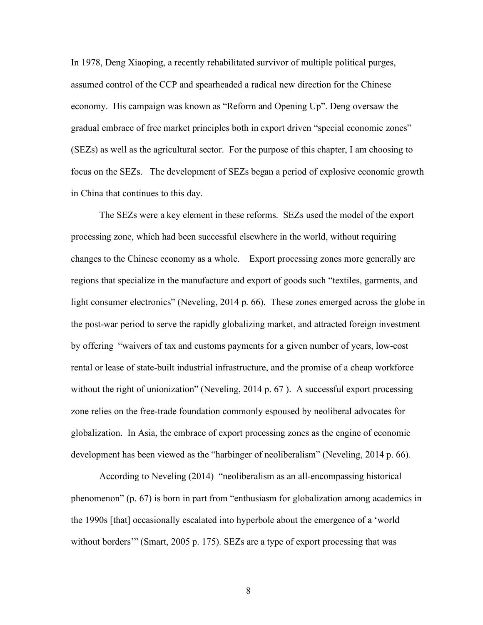In 1978, Deng Xiaoping, a recently rehabilitated survivor of multiple political purges, assumed control of the CCP and spearheaded a radical new direction for the Chinese economy. His campaign was known as "Reform and Opening Up". Deng oversaw the gradual embrace of free market principles both in export driven "special economic zones" (SEZs) as well as the agricultural sector. For the purpose of this chapter, I am choosing to focus on the SEZs. The development of SEZs began a period of explosive economic growth in China that continues to this day.

The SEZs were a key element in these reforms. SEZs used the model of the export processing zone, which had been successful elsewhere in the world, without requiring changes to the Chinese economy as a whole. Export processing zones more generally are regions that specialize in the manufacture and export of goods such "textiles, garments, and light consumer electronics" (Neveling, 2014 p. 66). These zones emerged across the globe in the post-war period to serve the rapidly globalizing market, and attracted foreign investment by offering "waivers of tax and customs payments for a given number of years, low-cost rental or lease of state-built industrial infrastructure, and the promise of a cheap workforce without the right of unionization" (Neveling, 2014 p. 67). A successful export processing zone relies on the free-trade foundation commonly espoused by neoliberal advocates for globalization. In Asia, the embrace of export processing zones as the engine of economic development has been viewed as the "harbinger of neoliberalism" (Neveling, 2014 p. 66).

According to Neveling (2014) "neoliberalism as an all-encompassing historical phenomenon" (p. 67) is born in part from "enthusiasm for globalization among academics in the 1990s [that] occasionally escalated into hyperbole about the emergence of a 'world without borders'" (Smart, 2005 p. 175). SEZs are a type of export processing that was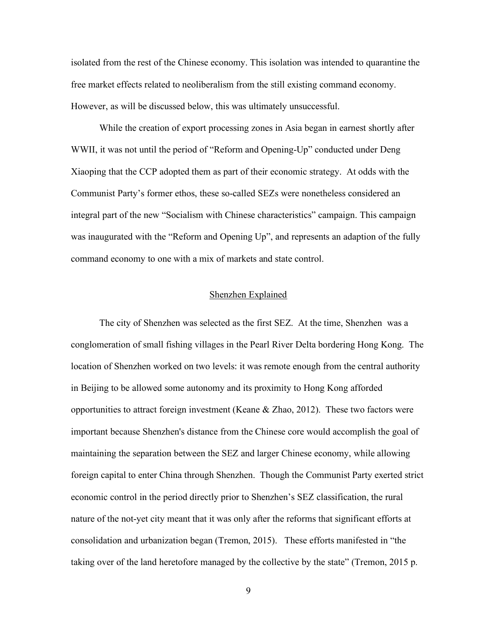isolated from the rest of the Chinese economy. This isolation was intended to quarantine the free market effects related to neoliberalism from the still existing command economy. However, as will be discussed below, this was ultimately unsuccessful.

While the creation of export processing zones in Asia began in earnest shortly after WWII, it was not until the period of "Reform and Opening-Up" conducted under Deng Xiaoping that the CCP adopted them as part of their economic strategy. At odds with the Communist Party's former ethos, these so-called SEZs were nonetheless considered an integral part of the new "Socialism with Chinese characteristics" campaign. This campaign was inaugurated with the "Reform and Opening Up", and represents an adaption of the fully command economy to one with a mix of markets and state control.

#### Shenzhen Explained

The city of Shenzhen was selected as the first SEZ. At the time, Shenzhen was a conglomeration of small fishing villages in the Pearl River Delta bordering Hong Kong. The location of Shenzhen worked on two levels: it was remote enough from the central authority in Beijing to be allowed some autonomy and its proximity to Hong Kong afforded opportunities to attract foreign investment (Keane  $\&$  Zhao, 2012). These two factors were important because Shenzhen's distance from the Chinese core would accomplish the goal of maintaining the separation between the SEZ and larger Chinese economy, while allowing foreign capital to enter China through Shenzhen. Though the Communist Party exerted strict economic control in the period directly prior to Shenzhen's SEZ classification, the rural nature of the not-yet city meant that it was only after the reforms that significant efforts at consolidation and urbanization began (Tremon, 2015). These efforts manifested in "the taking over of the land heretofore managed by the collective by the state" (Tremon, 2015 p.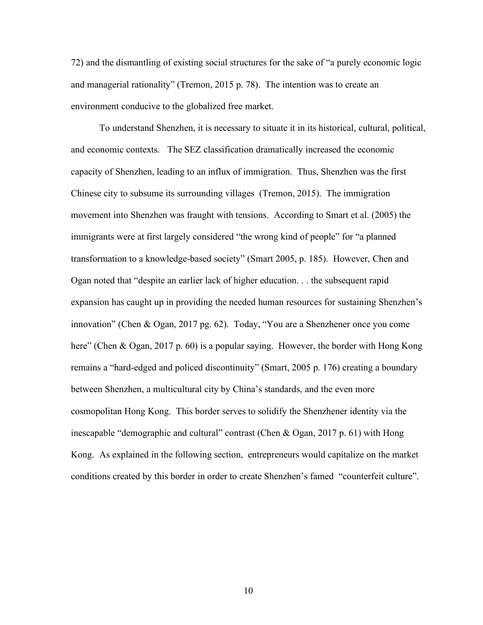72) and the dismantling of existing social structures for the sake of "a purely economic logic and managerial rationality" (Tremon, 2015 p. 78). The intention was to create an environment conducive to the globalized free market.

To understand Shenzhen, it is necessary to situate it in its historical, cultural, political, and economic contexts. The SEZ classification dramatically increased the economic capacity of Shenzhen, leading to an influx of immigration. Thus, Shenzhen was the first Chinese city to subsume its surrounding villages (Tremon, 2015). The immigration movement into Shenzhen was fraught with tensions. According to Smart et al. (2005) the immigrants were at first largely considered "the wrong kind of people" for "a planned transformation to a knowledge-based society" (Smart 2005, p. 185). However, Chen and Ogan noted that "despite an earlier lack of higher education. . . the subsequent rapid expansion has caught up in providing the needed human resources for sustaining Shenzhen's innovation" (Chen & Ogan, 2017 pg. 62). Today, "You are a Shenzhener once you come here" (Chen & Ogan, 2017 p. 60) is a popular saying. However, the border with Hong Kong remains a "hard-edged and policed discontinuity" (Smart, 2005 p. 176) creating a boundary between Shenzhen, a multicultural city by China's standards, and the even more cosmopolitan Hong Kong. This border serves to solidify the Shenzhener identity via the inescapable "demographic and cultural" contrast (Chen & Ogan, 2017 p. 61) with Hong Kong. As explained in the following section, entrepreneurs would capitalize on the market conditions created by this border in order to create Shenzhen's famed "counterfeit culture".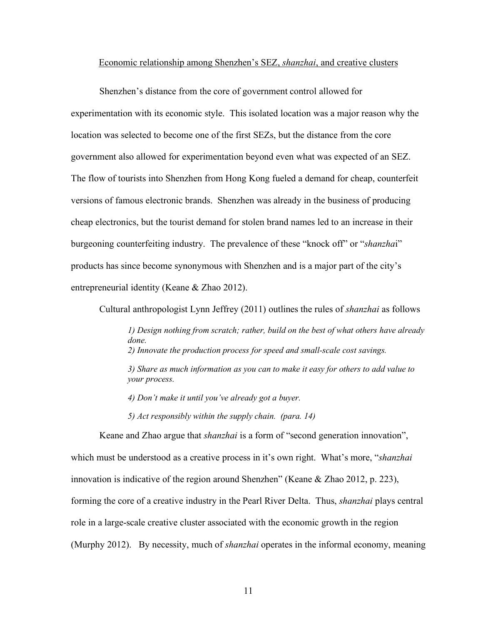#### Economic relationship among Shenzhen's SEZ, *shanzhai*, and creative clusters

Shenzhen's distance from the core of government control allowed for experimentation with its economic style. This isolated location was a major reason why the location was selected to become one of the first SEZs, but the distance from the core government also allowed for experimentation beyond even what was expected of an SEZ. The flow of tourists into Shenzhen from Hong Kong fueled a demand for cheap, counterfeit versions of famous electronic brands. Shenzhen was already in the business of producing cheap electronics, but the tourist demand for stolen brand names led to an increase in their burgeoning counterfeiting industry. The prevalence of these "knock off" or "*shanzha*i" products has since become synonymous with Shenzhen and is a major part of the city's entrepreneurial identity (Keane & Zhao 2012).

Cultural anthropologist Lynn Jeffrey (2011) outlines the rules of *shanzhai* as follows

*1) Design nothing from scratch; rather, build on the best of what others have already done. 2) Innovate the production process for speed and small-scale cost savings.* 

*3) Share as much information as you can to make it easy for others to add value to your process.* 

*4) Don't make it until you've already got a buyer.* 

*5) Act responsibly within the supply chain. (para. 14)*

Keane and Zhao argue that *shanzhai* is a form of "second generation innovation", which must be understood as a creative process in it's own right. What's more, "*shanzhai* innovation is indicative of the region around Shenzhen" (Keane & Zhao 2012, p. 223), forming the core of a creative industry in the Pearl River Delta. Thus, *shanzhai* plays central role in a large-scale creative cluster associated with the economic growth in the region (Murphy 2012). By necessity, much of *shanzhai* operates in the informal economy, meaning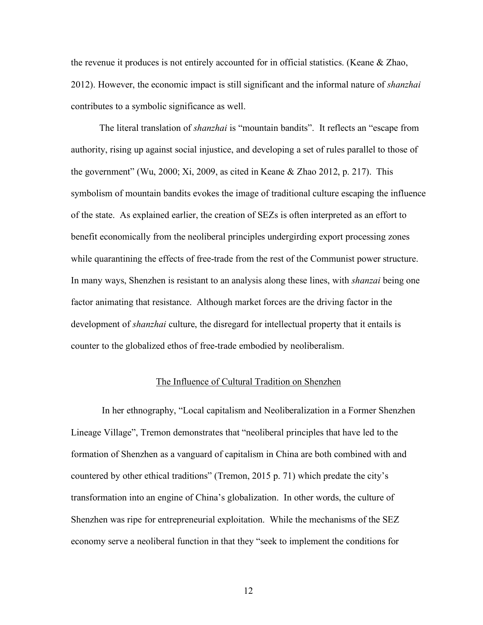the revenue it produces is not entirely accounted for in official statistics. (Keane & Zhao, 2012). However, the economic impact is still significant and the informal nature of *shanzhai*  contributes to a symbolic significance as well.

The literal translation of *shanzhai* is "mountain bandits". It reflects an "escape from authority, rising up against social injustice, and developing a set of rules parallel to those of the government" (Wu, 2000; Xi, 2009, as cited in Keane  $\&$  Zhao 2012, p. 217). This symbolism of mountain bandits evokes the image of traditional culture escaping the influence of the state. As explained earlier, the creation of SEZs is often interpreted as an effort to benefit economically from the neoliberal principles undergirding export processing zones while quarantining the effects of free-trade from the rest of the Communist power structure. In many ways, Shenzhen is resistant to an analysis along these lines, with *shanzai* being one factor animating that resistance. Although market forces are the driving factor in the development of *shanzhai* culture, the disregard for intellectual property that it entails is counter to the globalized ethos of free-trade embodied by neoliberalism.

#### The Influence of Cultural Tradition on Shenzhen

In her ethnography, "Local capitalism and Neoliberalization in a Former Shenzhen Lineage Village", Tremon demonstrates that "neoliberal principles that have led to the formation of Shenzhen as a vanguard of capitalism in China are both combined with and countered by other ethical traditions" (Tremon, 2015 p. 71) which predate the city's transformation into an engine of China's globalization. In other words, the culture of Shenzhen was ripe for entrepreneurial exploitation. While the mechanisms of the SEZ economy serve a neoliberal function in that they "seek to implement the conditions for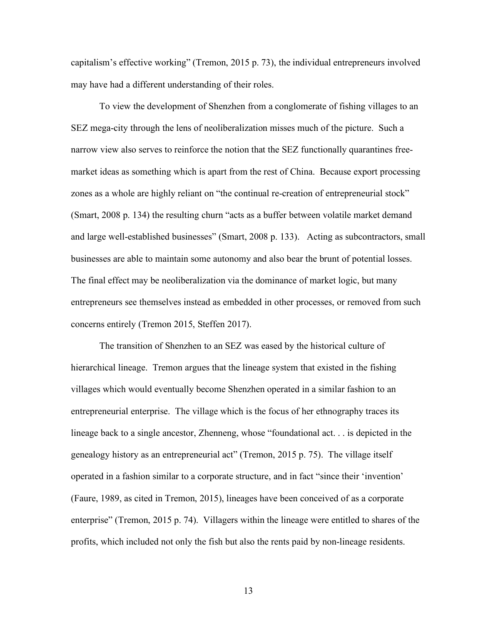capitalism's effective working" (Tremon, 2015 p. 73), the individual entrepreneurs involved may have had a different understanding of their roles.

To view the development of Shenzhen from a conglomerate of fishing villages to an SEZ mega-city through the lens of neoliberalization misses much of the picture. Such a narrow view also serves to reinforce the notion that the SEZ functionally quarantines freemarket ideas as something which is apart from the rest of China. Because export processing zones as a whole are highly reliant on "the continual re-creation of entrepreneurial stock" (Smart, 2008 p. 134) the resulting churn "acts as a buffer between volatile market demand and large well-established businesses" (Smart, 2008 p. 133). Acting as subcontractors, small businesses are able to maintain some autonomy and also bear the brunt of potential losses. The final effect may be neoliberalization via the dominance of market logic, but many entrepreneurs see themselves instead as embedded in other processes, or removed from such concerns entirely (Tremon 2015, Steffen 2017).

The transition of Shenzhen to an SEZ was eased by the historical culture of hierarchical lineage. Tremon argues that the lineage system that existed in the fishing villages which would eventually become Shenzhen operated in a similar fashion to an entrepreneurial enterprise. The village which is the focus of her ethnography traces its lineage back to a single ancestor, Zhenneng, whose "foundational act. . . is depicted in the genealogy history as an entrepreneurial act" (Tremon, 2015 p. 75). The village itself operated in a fashion similar to a corporate structure, and in fact "since their 'invention' (Faure, 1989, as cited in Tremon, 2015), lineages have been conceived of as a corporate enterprise" (Tremon, 2015 p. 74). Villagers within the lineage were entitled to shares of the profits, which included not only the fish but also the rents paid by non-lineage residents.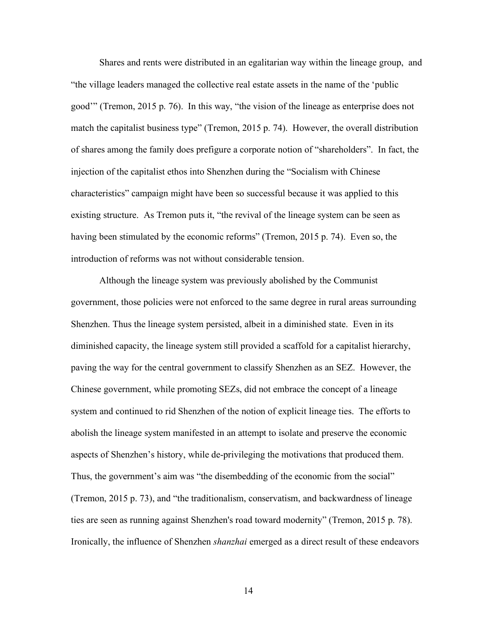Shares and rents were distributed in an egalitarian way within the lineage group, and "the village leaders managed the collective real estate assets in the name of the 'public good'" (Tremon, 2015 p. 76). In this way, "the vision of the lineage as enterprise does not match the capitalist business type" (Tremon, 2015 p. 74). However, the overall distribution of shares among the family does prefigure a corporate notion of "shareholders". In fact, the injection of the capitalist ethos into Shenzhen during the "Socialism with Chinese characteristics" campaign might have been so successful because it was applied to this existing structure. As Tremon puts it, "the revival of the lineage system can be seen as having been stimulated by the economic reforms" (Tremon, 2015 p. 74). Even so, the introduction of reforms was not without considerable tension.

Although the lineage system was previously abolished by the Communist government, those policies were not enforced to the same degree in rural areas surrounding Shenzhen. Thus the lineage system persisted, albeit in a diminished state. Even in its diminished capacity, the lineage system still provided a scaffold for a capitalist hierarchy, paving the way for the central government to classify Shenzhen as an SEZ. However, the Chinese government, while promoting SEZs, did not embrace the concept of a lineage system and continued to rid Shenzhen of the notion of explicit lineage ties. The efforts to abolish the lineage system manifested in an attempt to isolate and preserve the economic aspects of Shenzhen's history, while de-privileging the motivations that produced them. Thus, the government's aim was "the disembedding of the economic from the social" (Tremon, 2015 p. 73), and "the traditionalism, conservatism, and backwardness of lineage ties are seen as running against Shenzhen's road toward modernity" (Tremon, 2015 p. 78). Ironically, the influence of Shenzhen *shanzhai* emerged as a direct result of these endeavors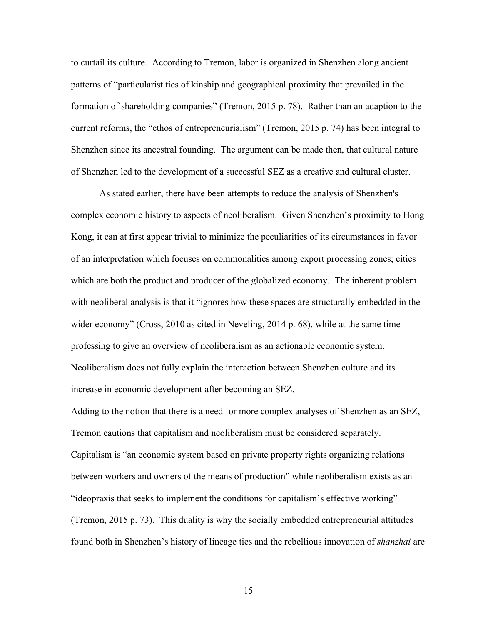to curtail its culture. According to Tremon, labor is organized in Shenzhen along ancient patterns of "particularist ties of kinship and geographical proximity that prevailed in the formation of shareholding companies" (Tremon, 2015 p. 78). Rather than an adaption to the current reforms, the "ethos of entrepreneurialism" (Tremon, 2015 p. 74) has been integral to Shenzhen since its ancestral founding. The argument can be made then, that cultural nature of Shenzhen led to the development of a successful SEZ as a creative and cultural cluster.

As stated earlier, there have been attempts to reduce the analysis of Shenzhen's complex economic history to aspects of neoliberalism. Given Shenzhen's proximity to Hong Kong, it can at first appear trivial to minimize the peculiarities of its circumstances in favor of an interpretation which focuses on commonalities among export processing zones; cities which are both the product and producer of the globalized economy. The inherent problem with neoliberal analysis is that it "ignores how these spaces are structurally embedded in the wider economy" (Cross, 2010 as cited in Neveling, 2014 p. 68), while at the same time professing to give an overview of neoliberalism as an actionable economic system. Neoliberalism does not fully explain the interaction between Shenzhen culture and its increase in economic development after becoming an SEZ.

Adding to the notion that there is a need for more complex analyses of Shenzhen as an SEZ, Tremon cautions that capitalism and neoliberalism must be considered separately. Capitalism is "an economic system based on private property rights organizing relations between workers and owners of the means of production" while neoliberalism exists as an "ideopraxis that seeks to implement the conditions for capitalism's effective working" (Tremon, 2015 p. 73). This duality is why the socially embedded entrepreneurial attitudes found both in Shenzhen's history of lineage ties and the rebellious innovation of *shanzhai* are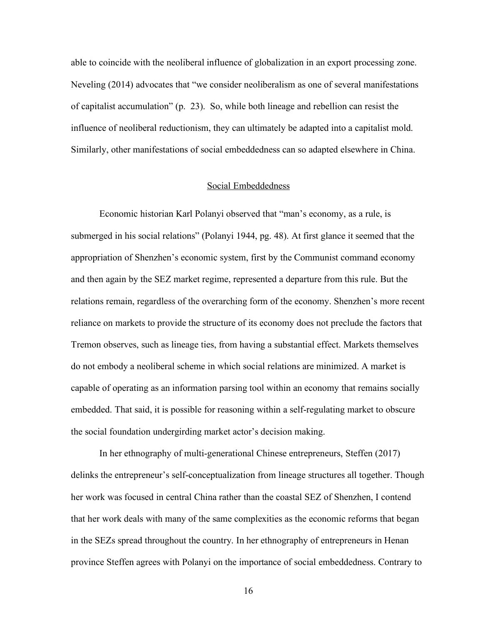able to coincide with the neoliberal influence of globalization in an export processing zone. Neveling (2014) advocates that "we consider neoliberalism as one of several manifestations of capitalist accumulation" (p. 23). So, while both lineage and rebellion can resist the influence of neoliberal reductionism, they can ultimately be adapted into a capitalist mold. Similarly, other manifestations of social embeddedness can so adapted elsewhere in China.

#### Social Embeddedness

Economic historian Karl Polanyi observed that "man's economy, as a rule, is submerged in his social relations" (Polanyi 1944, pg. 48). At first glance it seemed that the appropriation of Shenzhen's economic system, first by the Communist command economy and then again by the SEZ market regime, represented a departure from this rule. But the relations remain, regardless of the overarching form of the economy. Shenzhen's more recent reliance on markets to provide the structure of its economy does not preclude the factors that Tremon observes, such as lineage ties, from having a substantial effect. Markets themselves do not embody a neoliberal scheme in which social relations are minimized. A market is capable of operating as an information parsing tool within an economy that remains socially embedded. That said, it is possible for reasoning within a self-regulating market to obscure the social foundation undergirding market actor's decision making.

In her ethnography of multi-generational Chinese entrepreneurs, Steffen (2017) delinks the entrepreneur's self-conceptualization from lineage structures all together. Though her work was focused in central China rather than the coastal SEZ of Shenzhen, I contend that her work deals with many of the same complexities as the economic reforms that began in the SEZs spread throughout the country. In her ethnography of entrepreneurs in Henan province Steffen agrees with Polanyi on the importance of social embeddedness. Contrary to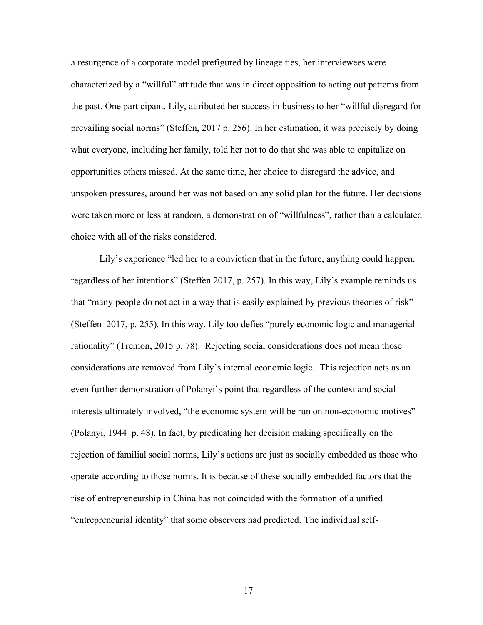a resurgence of a corporate model prefigured by lineage ties, her interviewees were characterized by a "willful" attitude that was in direct opposition to acting out patterns from the past. One participant, Lily, attributed her success in business to her "willful disregard for prevailing social norms" (Steffen, 2017 p. 256). In her estimation, it was precisely by doing what everyone, including her family, told her not to do that she was able to capitalize on opportunities others missed. At the same time, her choice to disregard the advice, and unspoken pressures, around her was not based on any solid plan for the future. Her decisions were taken more or less at random, a demonstration of "willfulness", rather than a calculated choice with all of the risks considered.

Lily's experience "led her to a conviction that in the future, anything could happen, regardless of her intentions" (Steffen 2017, p. 257). In this way, Lily's example reminds us that "many people do not act in a way that is easily explained by previous theories of risk" (Steffen 2017, p. 255). In this way, Lily too defies "purely economic logic and managerial rationality" (Tremon, 2015 p. 78). Rejecting social considerations does not mean those considerations are removed from Lily's internal economic logic. This rejection acts as an even further demonstration of Polanyi's point that regardless of the context and social interests ultimately involved, "the economic system will be run on non-economic motives" (Polanyi, 1944 p. 48). In fact, by predicating her decision making specifically on the rejection of familial social norms, Lily's actions are just as socially embedded as those who operate according to those norms. It is because of these socially embedded factors that the rise of entrepreneurship in China has not coincided with the formation of a unified "entrepreneurial identity" that some observers had predicted. The individual self-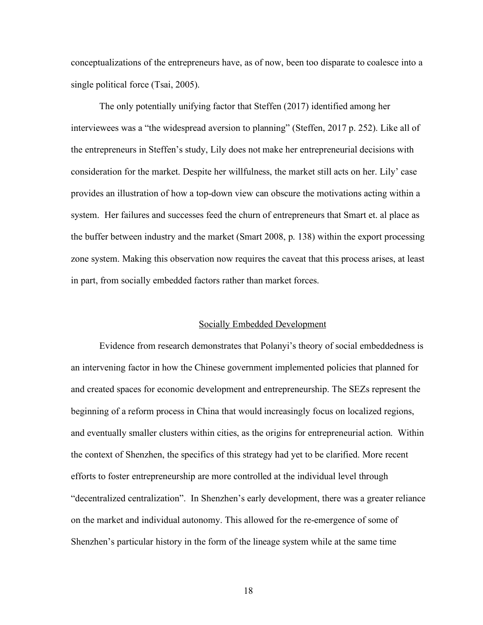conceptualizations of the entrepreneurs have, as of now, been too disparate to coalesce into a single political force (Tsai, 2005).

The only potentially unifying factor that Steffen (2017) identified among her interviewees was a "the widespread aversion to planning" (Steffen, 2017 p. 252). Like all of the entrepreneurs in Steffen's study, Lily does not make her entrepreneurial decisions with consideration for the market. Despite her willfulness, the market still acts on her. Lily' case provides an illustration of how a top-down view can obscure the motivations acting within a system. Her failures and successes feed the churn of entrepreneurs that Smart et. al place as the buffer between industry and the market (Smart 2008, p. 138) within the export processing zone system. Making this observation now requires the caveat that this process arises, at least in part, from socially embedded factors rather than market forces.

## Socially Embedded Development

Evidence from research demonstrates that Polanyi's theory of social embeddedness is an intervening factor in how the Chinese government implemented policies that planned for and created spaces for economic development and entrepreneurship. The SEZs represent the beginning of a reform process in China that would increasingly focus on localized regions, and eventually smaller clusters within cities, as the origins for entrepreneurial action. Within the context of Shenzhen, the specifics of this strategy had yet to be clarified. More recent efforts to foster entrepreneurship are more controlled at the individual level through "decentralized centralization". In Shenzhen's early development, there was a greater reliance on the market and individual autonomy. This allowed for the re-emergence of some of Shenzhen's particular history in the form of the lineage system while at the same time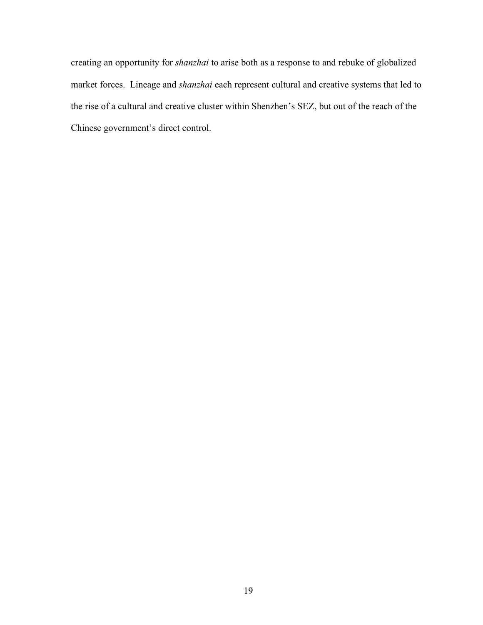creating an opportunity for *shanzhai* to arise both as a response to and rebuke of globalized market forces. Lineage and *shanzhai* each represent cultural and creative systems that led to the rise of a cultural and creative cluster within Shenzhen's SEZ, but out of the reach of the Chinese government's direct control.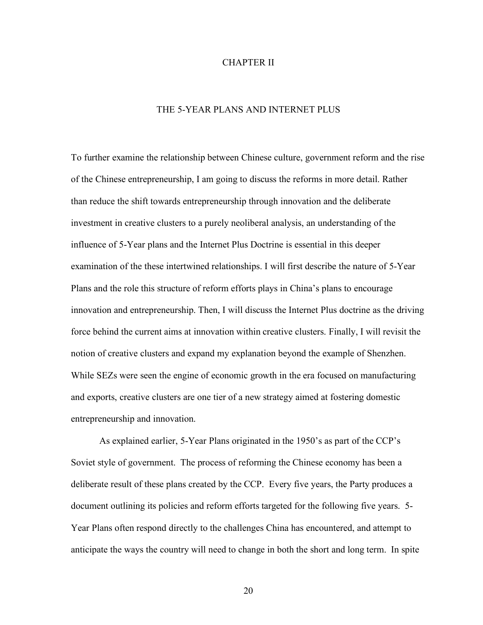#### CHAPTER II

## THE 5-YEAR PLANS AND INTERNET PLUS

To further examine the relationship between Chinese culture, government reform and the rise of the Chinese entrepreneurship, I am going to discuss the reforms in more detail. Rather than reduce the shift towards entrepreneurship through innovation and the deliberate investment in creative clusters to a purely neoliberal analysis, an understanding of the influence of 5-Year plans and the Internet Plus Doctrine is essential in this deeper examination of the these intertwined relationships. I will first describe the nature of 5-Year Plans and the role this structure of reform efforts plays in China's plans to encourage innovation and entrepreneurship. Then, I will discuss the Internet Plus doctrine as the driving force behind the current aims at innovation within creative clusters. Finally, I will revisit the notion of creative clusters and expand my explanation beyond the example of Shenzhen. While SEZs were seen the engine of economic growth in the era focused on manufacturing and exports, creative clusters are one tier of a new strategy aimed at fostering domestic entrepreneurship and innovation.

As explained earlier, 5-Year Plans originated in the 1950's as part of the CCP's Soviet style of government. The process of reforming the Chinese economy has been a deliberate result of these plans created by the CCP. Every five years, the Party produces a document outlining its policies and reform efforts targeted for the following five years. 5- Year Plans often respond directly to the challenges China has encountered, and attempt to anticipate the ways the country will need to change in both the short and long term. In spite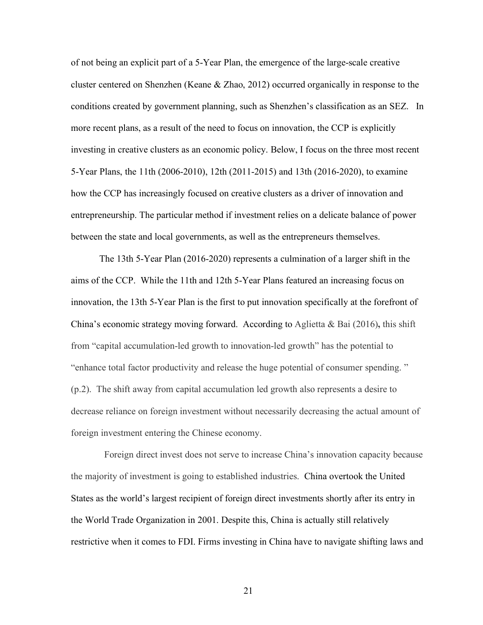of not being an explicit part of a 5-Year Plan, the emergence of the large-scale creative cluster centered on Shenzhen (Keane & Zhao, 2012) occurred organically in response to the conditions created by government planning, such as Shenzhen's classification as an SEZ. In more recent plans, as a result of the need to focus on innovation, the CCP is explicitly investing in creative clusters as an economic policy. Below, I focus on the three most recent 5-Year Plans, the 11th (2006-2010), 12th (2011-2015) and 13th (2016-2020), to examine how the CCP has increasingly focused on creative clusters as a driver of innovation and entrepreneurship. The particular method if investment relies on a delicate balance of power between the state and local governments, as well as the entrepreneurs themselves.

The 13th 5-Year Plan (2016-2020) represents a culmination of a larger shift in the aims of the CCP. While the 11th and 12th 5-Year Plans featured an increasing focus on innovation, the 13th 5-Year Plan is the first to put innovation specifically at the forefront of China's economic strategy moving forward. According to Aglietta & Bai (2016)**,** this shift from "capital accumulation-led growth to innovation-led growth" has the potential to "enhance total factor productivity and release the huge potential of consumer spending. " (p.2). The shift away from capital accumulation led growth also represents a desire to decrease reliance on foreign investment without necessarily decreasing the actual amount of foreign investment entering the Chinese economy.

 Foreign direct invest does not serve to increase China's innovation capacity because the majority of investment is going to established industries. China overtook the United States as the world's largest recipient of foreign direct investments shortly after its entry in the World Trade Organization in 2001. Despite this, China is actually still relatively restrictive when it comes to FDI. Firms investing in China have to navigate shifting laws and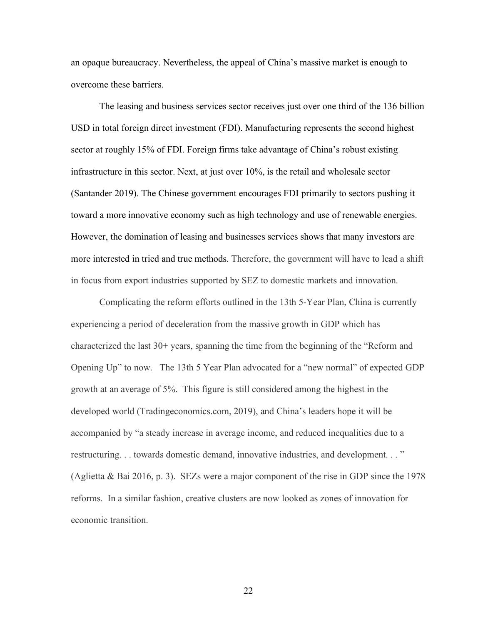an opaque bureaucracy. Nevertheless, the appeal of China's massive market is enough to overcome these barriers.

The leasing and business services sector receives just over one third of the 136 billion USD in total foreign direct investment (FDI). Manufacturing represents the second highest sector at roughly 15% of FDI. Foreign firms take advantage of China's robust existing infrastructure in this sector. Next, at just over 10%, is the retail and wholesale sector (Santander 2019). The Chinese government encourages FDI primarily to sectors pushing it toward a more innovative economy such as high technology and use of renewable energies. However, the domination of leasing and businesses services shows that many investors are more interested in tried and true methods. Therefore, the government will have to lead a shift in focus from export industries supported by SEZ to domestic markets and innovation.

Complicating the reform efforts outlined in the 13th 5-Year Plan, China is currently experiencing a period of deceleration from the massive growth in GDP which has characterized the last 30+ years, spanning the time from the beginning of the "Reform and Opening Up" to now. The 13th 5 Year Plan advocated for a "new normal" of expected GDP growth at an average of 5%. This figure is still considered among the highest in the developed world (Tradingeconomics.com, 2019), and China's leaders hope it will be accompanied by "a steady increase in average income, and reduced inequalities due to a restructuring. . . towards domestic demand, innovative industries, and development. . . " (Aglietta & Bai 2016, p. 3). SEZs were a major component of the rise in GDP since the 1978 reforms. In a similar fashion, creative clusters are now looked as zones of innovation for economic transition.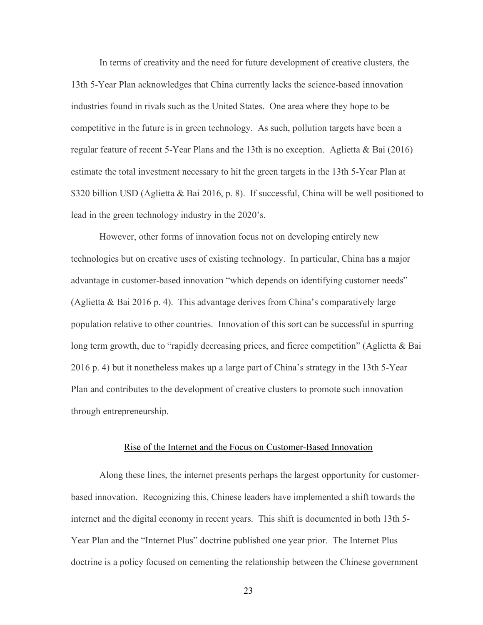In terms of creativity and the need for future development of creative clusters, the 13th 5-Year Plan acknowledges that China currently lacks the science-based innovation industries found in rivals such as the United States. One area where they hope to be competitive in the future is in green technology. As such, pollution targets have been a regular feature of recent 5-Year Plans and the 13th is no exception. Aglietta & Bai (2016) estimate the total investment necessary to hit the green targets in the 13th 5-Year Plan at \$320 billion USD (Aglietta & Bai 2016, p. 8). If successful, China will be well positioned to lead in the green technology industry in the 2020's.

However, other forms of innovation focus not on developing entirely new technologies but on creative uses of existing technology. In particular, China has a major advantage in customer-based innovation "which depends on identifying customer needs" (Aglietta & Bai 2016 p. 4). This advantage derives from China's comparatively large population relative to other countries. Innovation of this sort can be successful in spurring long term growth, due to "rapidly decreasing prices, and fierce competition" (Aglietta & Bai 2016 p. 4) but it nonetheless makes up a large part of China's strategy in the 13th 5-Year Plan and contributes to the development of creative clusters to promote such innovation through entrepreneurship.

#### Rise of the Internet and the Focus on Customer-Based Innovation

Along these lines, the internet presents perhaps the largest opportunity for customerbased innovation. Recognizing this, Chinese leaders have implemented a shift towards the internet and the digital economy in recent years. This shift is documented in both 13th 5- Year Plan and the "Internet Plus" doctrine published one year prior. The Internet Plus doctrine is a policy focused on cementing the relationship between the Chinese government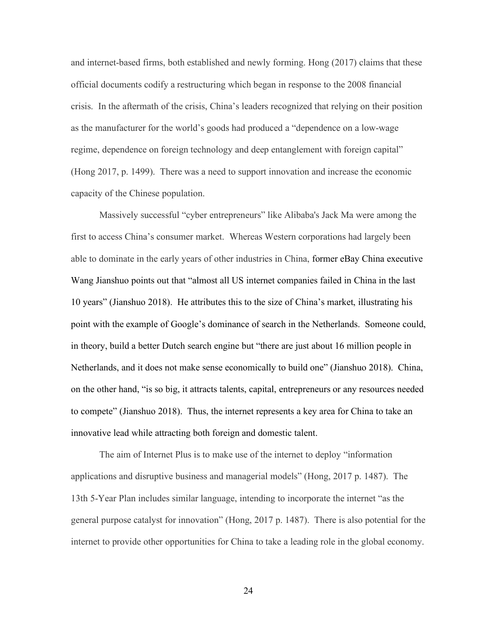and internet-based firms, both established and newly forming. Hong (2017) claims that these official documents codify a restructuring which began in response to the 2008 financial crisis. In the aftermath of the crisis, China's leaders recognized that relying on their position as the manufacturer for the world's goods had produced a "dependence on a low-wage regime, dependence on foreign technology and deep entanglement with foreign capital" (Hong 2017, p. 1499). There was a need to support innovation and increase the economic capacity of the Chinese population.

Massively successful "cyber entrepreneurs" like Alibaba's Jack Ma were among the first to access China's consumer market. Whereas Western corporations had largely been able to dominate in the early years of other industries in China, former eBay China executive Wang Jianshuo points out that "almost all US internet companies failed in China in the last 10 years" (Jianshuo 2018). He attributes this to the size of China's market, illustrating his point with the example of Google's dominance of search in the Netherlands. Someone could, in theory, build a better Dutch search engine but "there are just about 16 million people in Netherlands, and it does not make sense economically to build one" (Jianshuo 2018). China, on the other hand, "is so big, it attracts talents, capital, entrepreneurs or any resources needed to compete" (Jianshuo 2018). Thus, the internet represents a key area for China to take an innovative lead while attracting both foreign and domestic talent.

The aim of Internet Plus is to make use of the internet to deploy "information applications and disruptive business and managerial models" (Hong, 2017 p. 1487). The 13th 5-Year Plan includes similar language, intending to incorporate the internet "as the general purpose catalyst for innovation" (Hong, 2017 p. 1487). There is also potential for the internet to provide other opportunities for China to take a leading role in the global economy.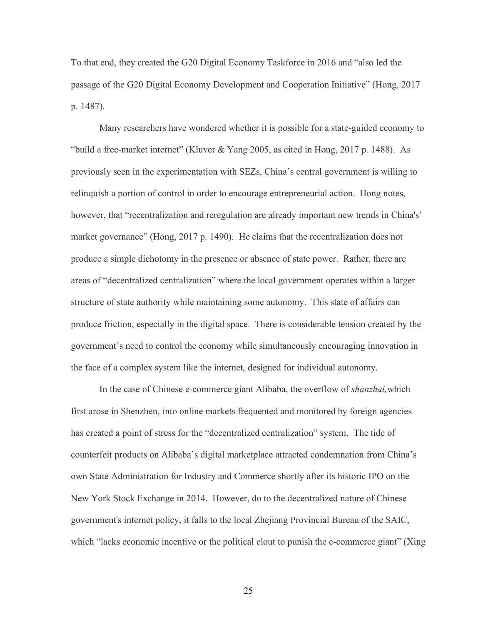To that end, they created the G20 Digital Economy Taskforce in 2016 and "also led the passage of the G20 Digital Economy Development and Cooperation Initiative" (Hong, 2017 p. 1487).

Many researchers have wondered whether it is possible for a state-guided economy to "build a free-market internet" (Kluver & Yang 2005, as cited in Hong, 2017 p. 1488). As previously seen in the experimentation with SEZs, China's central government is willing to relinquish a portion of control in order to encourage entrepreneurial action. Hong notes, however, that "recentralization and reregulation are already important new trends in China's' market governance" (Hong, 2017 p. 1490). He claims that the recentralization does not produce a simple dichotomy in the presence or absence of state power. Rather, there are areas of "decentralized centralization" where the local government operates within a larger structure of state authority while maintaining some autonomy. This state of affairs can produce friction, especially in the digital space. There is considerable tension created by the government's need to control the economy while simultaneously encouraging innovation in the face of a complex system like the internet, designed for individual autonomy.

In the case of Chinese e-commerce giant Alibaba, the overflow of *shanzhai,*which first arose in Shenzhen, into online markets frequented and monitored by foreign agencies has created a point of stress for the "decentralized centralization" system. The tide of counterfeit products on Alibaba's digital marketplace attracted condemnation from China's own State Administration for Industry and Commerce shortly after its historic IPO on the New York Stock Exchange in 2014. However, do to the decentralized nature of Chinese government's internet policy, it falls to the local Zhejiang Provincial Bureau of the SAIC, which "lacks economic incentive or the political clout to punish the e-commerce giant" (Xing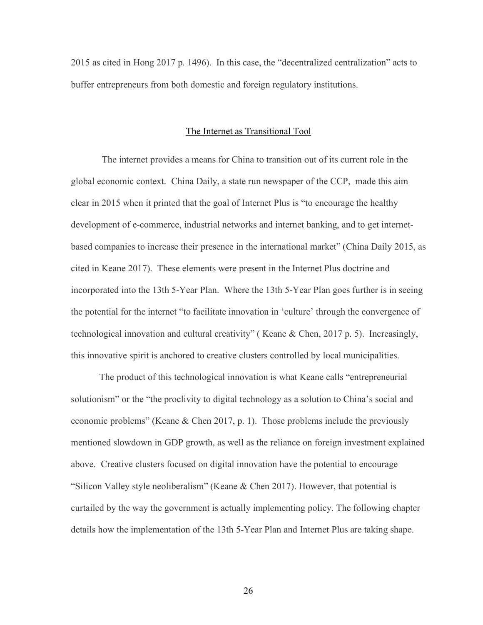2015 as cited in Hong 2017 p. 1496). In this case, the "decentralized centralization" acts to buffer entrepreneurs from both domestic and foreign regulatory institutions.

#### The Internet as Transitional Tool

The internet provides a means for China to transition out of its current role in the global economic context. China Daily, a state run newspaper of the CCP, made this aim clear in 2015 when it printed that the goal of Internet Plus is "to encourage the healthy development of e-commerce, industrial networks and internet banking, and to get internetbased companies to increase their presence in the international market" (China Daily 2015, as cited in Keane 2017). These elements were present in the Internet Plus doctrine and incorporated into the 13th 5-Year Plan. Where the 13th 5-Year Plan goes further is in seeing the potential for the internet "to facilitate innovation in 'culture' through the convergence of technological innovation and cultural creativity" ( Keane & Chen, 2017 p. 5). Increasingly, this innovative spirit is anchored to creative clusters controlled by local municipalities.

The product of this technological innovation is what Keane calls "entrepreneurial solutionism" or the "the proclivity to digital technology as a solution to China's social and economic problems" (Keane & Chen 2017, p. 1). Those problems include the previously mentioned slowdown in GDP growth, as well as the reliance on foreign investment explained above. Creative clusters focused on digital innovation have the potential to encourage "Silicon Valley style neoliberalism" (Keane & Chen 2017). However, that potential is curtailed by the way the government is actually implementing policy. The following chapter details how the implementation of the 13th 5-Year Plan and Internet Plus are taking shape.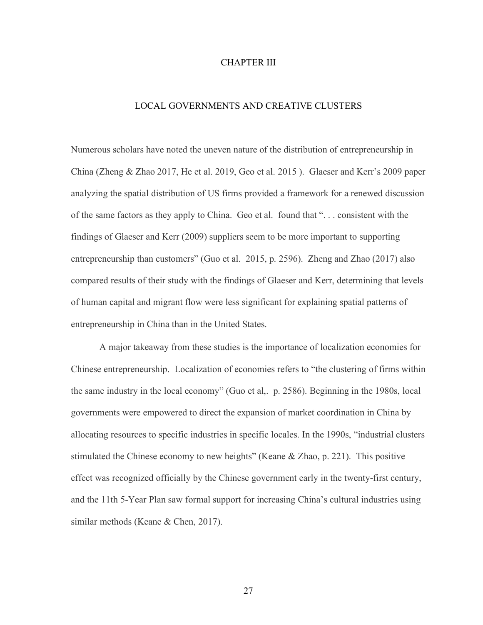#### CHAPTER III

# LOCAL GOVERNMENTS AND CREATIVE CLUSTERS

Numerous scholars have noted the uneven nature of the distribution of entrepreneurship in China (Zheng & Zhao 2017, He et al. 2019, Geo et al. 2015 ). Glaeser and Kerr's 2009 paper analyzing the spatial distribution of US firms provided a framework for a renewed discussion of the same factors as they apply to China. Geo et al. found that ". . . consistent with the findings of Glaeser and Kerr (2009) suppliers seem to be more important to supporting entrepreneurship than customers" (Guo et al. 2015, p. 2596). Zheng and Zhao (2017) also compared results of their study with the findings of Glaeser and Kerr, determining that levels of human capital and migrant flow were less significant for explaining spatial patterns of entrepreneurship in China than in the United States.

A major takeaway from these studies is the importance of localization economies for Chinese entrepreneurship. Localization of economies refers to "the clustering of firms within the same industry in the local economy" (Guo et al,. p. 2586). Beginning in the 1980s, local governments were empowered to direct the expansion of market coordination in China by allocating resources to specific industries in specific locales. In the 1990s, "industrial clusters stimulated the Chinese economy to new heights" (Keane  $&$  Zhao, p. 221). This positive effect was recognized officially by the Chinese government early in the twenty-first century, and the 11th 5-Year Plan saw formal support for increasing China's cultural industries using similar methods (Keane & Chen, 2017).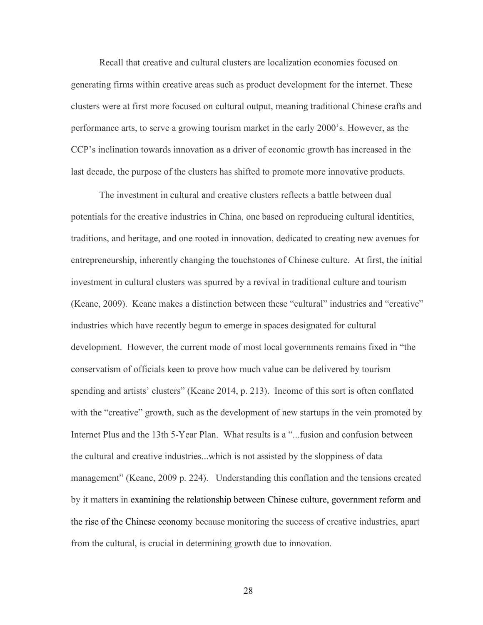Recall that creative and cultural clusters are localization economies focused on generating firms within creative areas such as product development for the internet. These clusters were at first more focused on cultural output, meaning traditional Chinese crafts and performance arts, to serve a growing tourism market in the early 2000's. However, as the CCP's inclination towards innovation as a driver of economic growth has increased in the last decade, the purpose of the clusters has shifted to promote more innovative products.

The investment in cultural and creative clusters reflects a battle between dual potentials for the creative industries in China, one based on reproducing cultural identities, traditions, and heritage, and one rooted in innovation, dedicated to creating new avenues for entrepreneurship, inherently changing the touchstones of Chinese culture. At first, the initial investment in cultural clusters was spurred by a revival in traditional culture and tourism (Keane, 2009). Keane makes a distinction between these "cultural" industries and "creative" industries which have recently begun to emerge in spaces designated for cultural development. However, the current mode of most local governments remains fixed in "the conservatism of officials keen to prove how much value can be delivered by tourism spending and artists' clusters" (Keane 2014, p. 213). Income of this sort is often conflated with the "creative" growth, such as the development of new startups in the vein promoted by Internet Plus and the 13th 5-Year Plan. What results is a "...fusion and confusion between the cultural and creative industries...which is not assisted by the sloppiness of data management" (Keane, 2009 p. 224). Understanding this conflation and the tensions created by it matters in examining the relationship between Chinese culture, government reform and the rise of the Chinese economy because monitoring the success of creative industries, apart from the cultural, is crucial in determining growth due to innovation.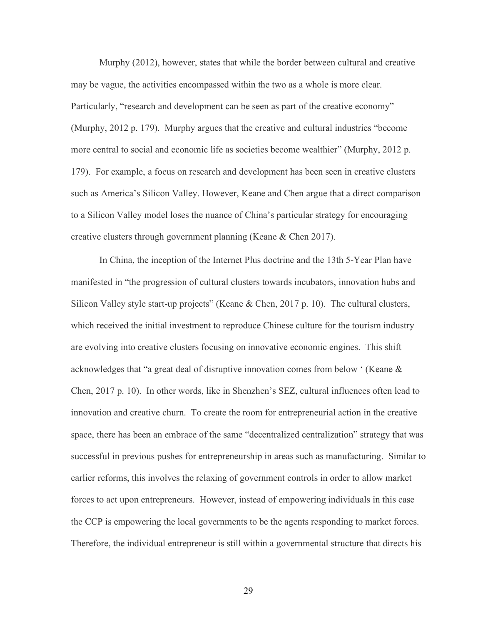Murphy (2012), however, states that while the border between cultural and creative may be vague, the activities encompassed within the two as a whole is more clear. Particularly, "research and development can be seen as part of the creative economy" (Murphy, 2012 p. 179). Murphy argues that the creative and cultural industries "become more central to social and economic life as societies become wealthier" (Murphy, 2012 p. 179). For example, a focus on research and development has been seen in creative clusters such as America's Silicon Valley. However, Keane and Chen argue that a direct comparison to a Silicon Valley model loses the nuance of China's particular strategy for encouraging creative clusters through government planning (Keane & Chen 2017).

In China, the inception of the Internet Plus doctrine and the 13th 5-Year Plan have manifested in "the progression of cultural clusters towards incubators, innovation hubs and Silicon Valley style start-up projects" (Keane & Chen, 2017 p. 10). The cultural clusters, which received the initial investment to reproduce Chinese culture for the tourism industry are evolving into creative clusters focusing on innovative economic engines. This shift acknowledges that "a great deal of disruptive innovation comes from below ' (Keane & Chen, 2017 p. 10). In other words, like in Shenzhen's SEZ, cultural influences often lead to innovation and creative churn. To create the room for entrepreneurial action in the creative space, there has been an embrace of the same "decentralized centralization" strategy that was successful in previous pushes for entrepreneurship in areas such as manufacturing. Similar to earlier reforms, this involves the relaxing of government controls in order to allow market forces to act upon entrepreneurs. However, instead of empowering individuals in this case the CCP is empowering the local governments to be the agents responding to market forces. Therefore, the individual entrepreneur is still within a governmental structure that directs his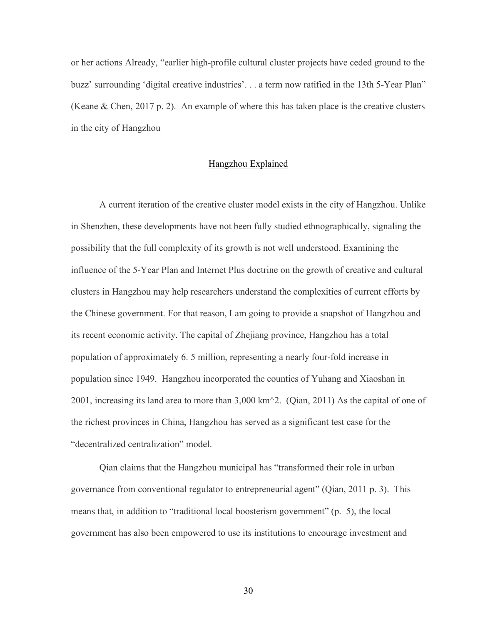or her actions Already, "earlier high-profile cultural cluster projects have ceded ground to the buzz' surrounding 'digital creative industries'. . . a term now ratified in the 13th 5-Year Plan" (Keane  $\&$  Chen, 2017 p. 2). An example of where this has taken place is the creative clusters in the city of Hangzhou

#### Hangzhou Explained

A current iteration of the creative cluster model exists in the city of Hangzhou. Unlike in Shenzhen, these developments have not been fully studied ethnographically, signaling the possibility that the full complexity of its growth is not well understood. Examining the influence of the 5-Year Plan and Internet Plus doctrine on the growth of creative and cultural clusters in Hangzhou may help researchers understand the complexities of current efforts by the Chinese government. For that reason, I am going to provide a snapshot of Hangzhou and its recent economic activity. The capital of Zhejiang province, Hangzhou has a total population of approximately 6. 5 million, representing a nearly four-fold increase in population since 1949. Hangzhou incorporated the counties of Yuhang and Xiaoshan in 2001, increasing its land area to more than 3,000 km^2. (Qian, 2011) As the capital of one of the richest provinces in China, Hangzhou has served as a significant test case for the "decentralized centralization" model.

Qian claims that the Hangzhou municipal has "transformed their role in urban governance from conventional regulator to entrepreneurial agent" (Qian, 2011 p. 3). This means that, in addition to "traditional local boosterism government" (p. 5), the local government has also been empowered to use its institutions to encourage investment and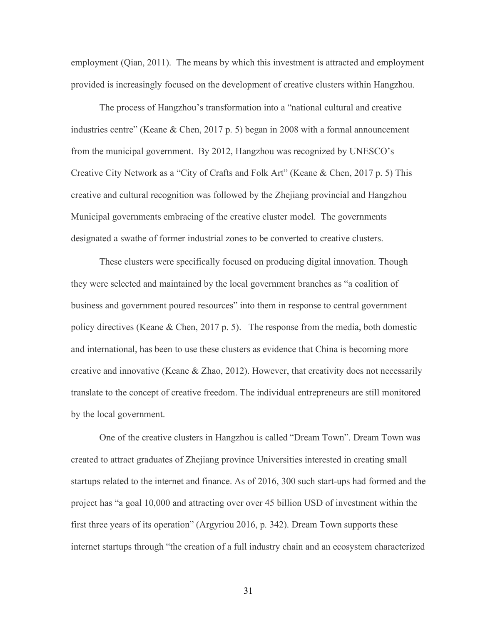employment (Qian, 2011). The means by which this investment is attracted and employment provided is increasingly focused on the development of creative clusters within Hangzhou.

The process of Hangzhou's transformation into a "national cultural and creative industries centre" (Keane & Chen, 2017 p. 5) began in 2008 with a formal announcement from the municipal government. By 2012, Hangzhou was recognized by UNESCO's Creative City Network as a "City of Crafts and Folk Art" (Keane & Chen, 2017 p. 5) This creative and cultural recognition was followed by the Zhejiang provincial and Hangzhou Municipal governments embracing of the creative cluster model. The governments designated a swathe of former industrial zones to be converted to creative clusters.

These clusters were specifically focused on producing digital innovation. Though they were selected and maintained by the local government branches as "a coalition of business and government poured resources" into them in response to central government policy directives (Keane & Chen, 2017 p. 5). The response from the media, both domestic and international, has been to use these clusters as evidence that China is becoming more creative and innovative (Keane & Zhao, 2012). However, that creativity does not necessarily translate to the concept of creative freedom. The individual entrepreneurs are still monitored by the local government.

One of the creative clusters in Hangzhou is called "Dream Town". Dream Town was created to attract graduates of Zhejiang province Universities interested in creating small startups related to the internet and finance. As of 2016, 300 such start-ups had formed and the project has "a goal 10,000 and attracting over over 45 billion USD of investment within the first three years of its operation" (Argyriou 2016, p. 342). Dream Town supports these internet startups through "the creation of a full industry chain and an ecosystem characterized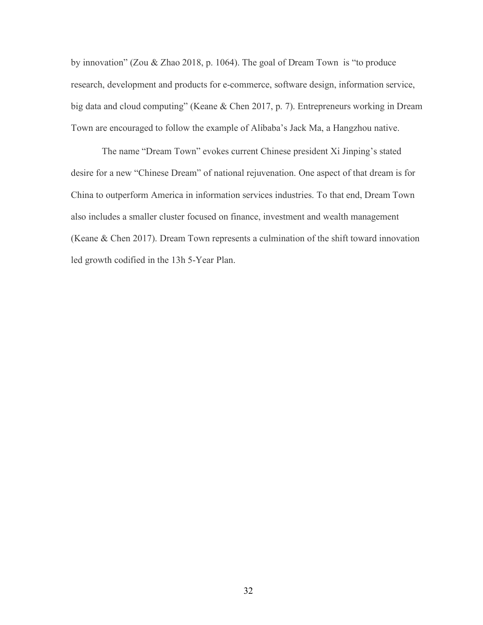by innovation" (Zou & Zhao 2018, p. 1064). The goal of Dream Town is "to produce research, development and products for e-commerce, software design, information service, big data and cloud computing" (Keane & Chen 2017, p. 7). Entrepreneurs working in Dream Town are encouraged to follow the example of Alibaba's Jack Ma, a Hangzhou native.

The name "Dream Town" evokes current Chinese president Xi Jinping's stated desire for a new "Chinese Dream" of national rejuvenation. One aspect of that dream is for China to outperform America in information services industries. To that end, Dream Town also includes a smaller cluster focused on finance, investment and wealth management (Keane & Chen 2017). Dream Town represents a culmination of the shift toward innovation led growth codified in the 13h 5-Year Plan.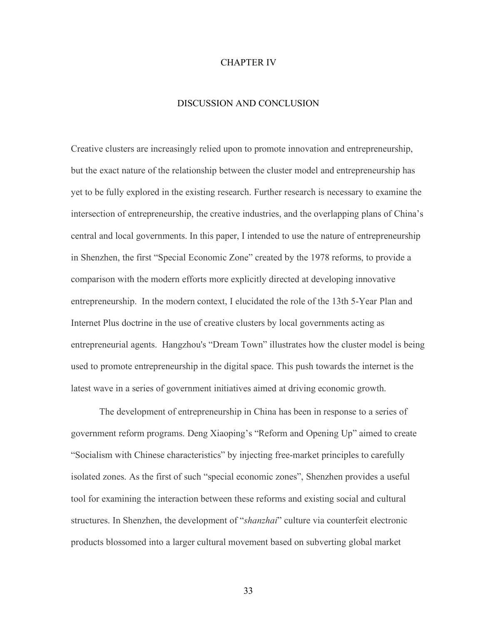#### CHAPTER IV

#### DISCUSSION AND CONCLUSION

Creative clusters are increasingly relied upon to promote innovation and entrepreneurship, but the exact nature of the relationship between the cluster model and entrepreneurship has yet to be fully explored in the existing research. Further research is necessary to examine the intersection of entrepreneurship, the creative industries, and the overlapping plans of China's central and local governments. In this paper, I intended to use the nature of entrepreneurship in Shenzhen, the first "Special Economic Zone" created by the 1978 reforms, to provide a comparison with the modern efforts more explicitly directed at developing innovative entrepreneurship. In the modern context, I elucidated the role of the 13th 5-Year Plan and Internet Plus doctrine in the use of creative clusters by local governments acting as entrepreneurial agents. Hangzhou's "Dream Town" illustrates how the cluster model is being used to promote entrepreneurship in the digital space. This push towards the internet is the latest wave in a series of government initiatives aimed at driving economic growth.

The development of entrepreneurship in China has been in response to a series of government reform programs. Deng Xiaoping's "Reform and Opening Up" aimed to create "Socialism with Chinese characteristics" by injecting free-market principles to carefully isolated zones. As the first of such "special economic zones", Shenzhen provides a useful tool for examining the interaction between these reforms and existing social and cultural structures. In Shenzhen, the development of "*shanzhai*" culture via counterfeit electronic products blossomed into a larger cultural movement based on subverting global market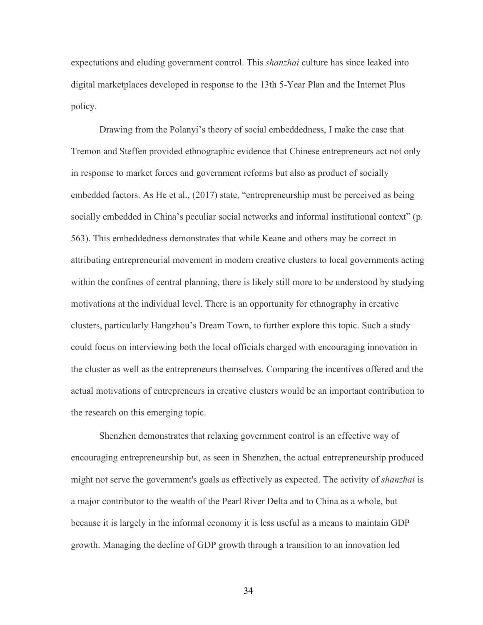expectations and eluding government control. This *shanzhai* culture has since leaked into digital marketplaces developed in response to the 13th 5-Year Plan and the Internet Plus policy.

Drawing from the Polanyi's theory of social embeddedness, I make the case that Tremon and Steffen provided ethnographic evidence that Chinese entrepreneurs act not only in response to market forces and government reforms but also as product of socially embedded factors. As He et al., (2017) state, "entrepreneurship must be perceived as being socially embedded in China's peculiar social networks and informal institutional context" (p. 563). This embeddedness demonstrates that while Keane and others may be correct in attributing entrepreneurial movement in modern creative clusters to local governments acting within the confines of central planning, there is likely still more to be understood by studying motivations at the individual level. There is an opportunity for ethnography in creative clusters, particularly Hangzhou's Dream Town, to further explore this topic. Such a study could focus on interviewing both the local officials charged with encouraging innovation in the cluster as well as the entrepreneurs themselves. Comparing the incentives offered and the actual motivations of entrepreneurs in creative clusters would be an important contribution to the research on this emerging topic.

Shenzhen demonstrates that relaxing government control is an effective way of encouraging entrepreneurship but, as seen in Shenzhen, the actual entrepreneurship produced might not serve the government's goals as effectively as expected. The activity of *shanzhai* is a major contributor to the wealth of the Pearl River Delta and to China as a whole, but because it is largely in the informal economy it is less useful as a means to maintain GDP growth. Managing the decline of GDP growth through a transition to an innovation led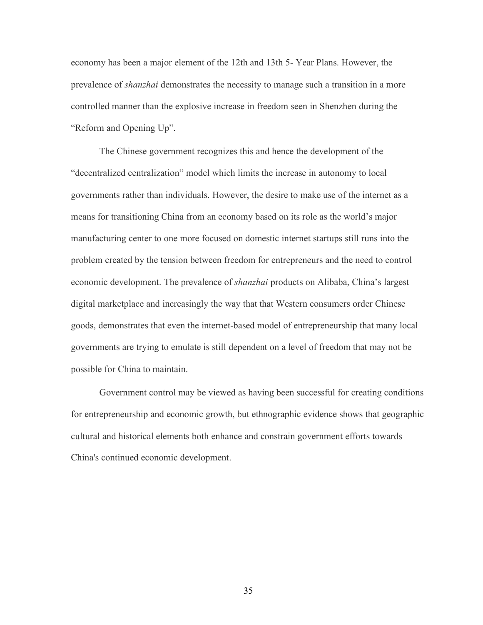economy has been a major element of the 12th and 13th 5- Year Plans. However, the prevalence of *shanzhai* demonstrates the necessity to manage such a transition in a more controlled manner than the explosive increase in freedom seen in Shenzhen during the "Reform and Opening Up".

The Chinese government recognizes this and hence the development of the "decentralized centralization" model which limits the increase in autonomy to local governments rather than individuals. However, the desire to make use of the internet as a means for transitioning China from an economy based on its role as the world's major manufacturing center to one more focused on domestic internet startups still runs into the problem created by the tension between freedom for entrepreneurs and the need to control economic development. The prevalence of *shanzhai* products on Alibaba, China's largest digital marketplace and increasingly the way that that Western consumers order Chinese goods, demonstrates that even the internet-based model of entrepreneurship that many local governments are trying to emulate is still dependent on a level of freedom that may not be possible for China to maintain.

Government control may be viewed as having been successful for creating conditions for entrepreneurship and economic growth, but ethnographic evidence shows that geographic cultural and historical elements both enhance and constrain government efforts towards China's continued economic development.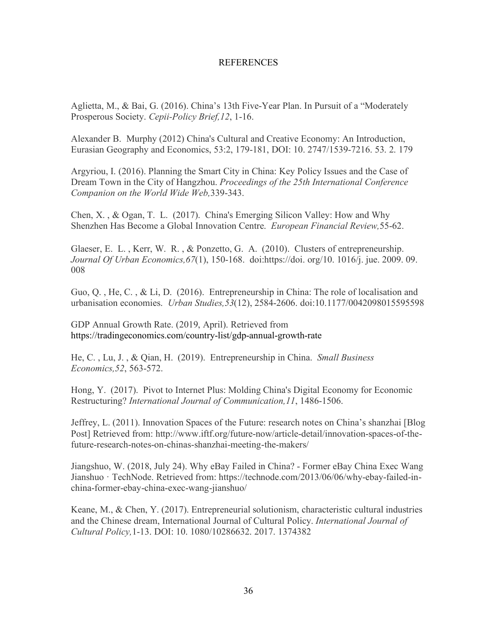# REFERENCES

Aglietta, M., & Bai, G. (2016). China's 13th Five-Year Plan. In Pursuit of a "Moderately Prosperous Society. *Cepii-Policy Brief,12*, 1-16.

Alexander B. Murphy (2012) China's Cultural and Creative Economy: An Introduction, Eurasian Geography and Economics, 53:2, 179-181, DOI: 10. 2747/1539-7216. 53. 2. 179

Argyriou, I. (2016). Planning the Smart City in China: Key Policy Issues and the Case of Dream Town in the City of Hangzhou. *Proceedings of the 25th International Conference Companion on the World Wide Web,*339-343.

Chen, X. , & Ogan, T. L. (2017). China's Emerging Silicon Valley: How and Why Shenzhen Has Become a Global Innovation Centre. *European Financial Review,*55-62.

Glaeser, E. L. , Kerr, W. R. , & Ponzetto, G. A. (2010). Clusters of entrepreneurship. *Journal Of Urban Economics,67*(1), 150-168. doi:https://doi. org/10. 1016/j. jue. 2009. 09. 008

Guo, Q. , He, C. , & Li, D. (2016). Entrepreneurship in China: The role of localisation and urbanisation economies. *Urban Studies,53*(12), 2584-2606. doi:10.1177/0042098015595598

GDP Annual Growth Rate. (2019, April). Retrieved from https://tradingeconomics.com/country-list/gdp-annual-growth-rate

He, C. , Lu, J. , & Qian, H. (2019). Entrepreneurship in China. *Small Business Economics,52*, 563-572.

Hong, Y. (2017). Pivot to Internet Plus: Molding China's Digital Economy for Economic Restructuring? *International Journal of Communication,11*, 1486-1506.

Jeffrey, L. (2011). Innovation Spaces of the Future: research notes on China's shanzhai [Blog Post] Retrieved from: http://www.iftf.org/future-now/article-detail/innovation-spaces-of-thefuture-research-notes-on-chinas-shanzhai-meeting-the-makers/

Jiangshuo, W. (2018, July 24). Why eBay Failed in China? - Former eBay China Exec Wang Jianshuo · TechNode. Retrieved from: https://technode.com/2013/06/06/why-ebay-failed-inchina-former-ebay-china-exec-wang-jianshuo/

Keane, M., & Chen, Y. (2017). Entrepreneurial solutionism, characteristic cultural industries and the Chinese dream, International Journal of Cultural Policy. *International Journal of Cultural Policy,*1-13. DOI: 10. 1080/10286632. 2017. 1374382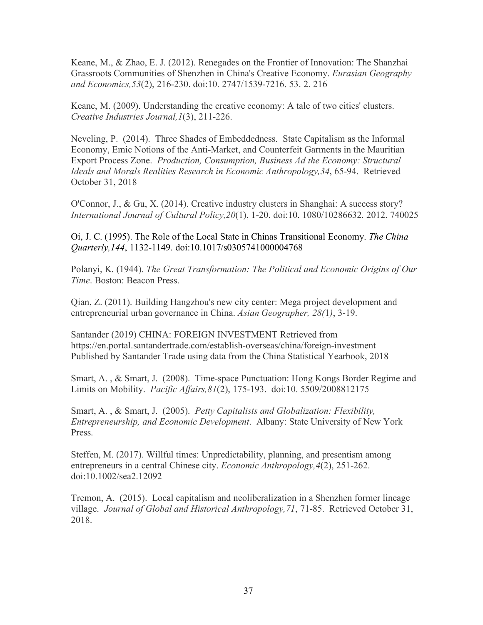Keane, M., & Zhao, E. J. (2012). Renegades on the Frontier of Innovation: The Shanzhai Grassroots Communities of Shenzhen in China's Creative Economy. *Eurasian Geography and Economics,53*(2), 216-230. doi:10. 2747/1539-7216. 53. 2. 216

Keane, M. (2009). Understanding the creative economy: A tale of two cities' clusters. *Creative Industries Journal,1*(3), 211-226.

Neveling, P. (2014). Three Shades of Embeddedness. State Capitalism as the Informal Economy, Emic Notions of the Anti-Market, and Counterfeit Garments in the Mauritian Export Process Zone. *Production, Consumption, Business Ad the Economy: Structural Ideals and Morals Realities Research in Economic Anthropology,34*, 65-94. Retrieved October 31, 2018

O'Connor, J., & Gu, X. (2014). Creative industry clusters in Shanghai: A success story? *International Journal of Cultural Policy,20*(1), 1-20. doi:10. 1080/10286632. 2012. 740025

Oi, J. C. (1995). The Role of the Local State in Chinas Transitional Economy. *The China Quarterly,144*, 1132-1149. doi:10.1017/s0305741000004768

Polanyi, K. (1944). *The Great Transformation: The Political and Economic Origins of Our Time*. Boston: Beacon Press.

Qian, Z. (2011). Building Hangzhou's new city center: Mega project development and entrepreneurial urban governance in China. *Asian Geographer, 28(*1*)*, 3-19.

Santander (2019) CHINA: FOREIGN INVESTMENT Retrieved from https://en.portal.santandertrade.com/establish-overseas/china/foreign-investment Published by Santander Trade using data from the China Statistical Yearbook, 2018

Smart, A. , & Smart, J. (2008). Time-space Punctuation: Hong Kongs Border Regime and Limits on Mobility. *Pacific Affairs,81*(2), 175-193. doi:10. 5509/2008812175

Smart, A. , & Smart, J. (2005). *Petty Capitalists and Globalization: Flexibility, Entrepreneurship, and Economic Development*. Albany: State University of New York Press.

Steffen, M. (2017). Willful times: Unpredictability, planning, and presentism among entrepreneurs in a central Chinese city. *Economic Anthropology,4*(2), 251-262. doi:10.1002/sea2.12092

Tremon, A. (2015). Local capitalism and neoliberalization in a Shenzhen former lineage village. *Journal of Global and Historical Anthropology,71*, 71-85. Retrieved October 31, 2018.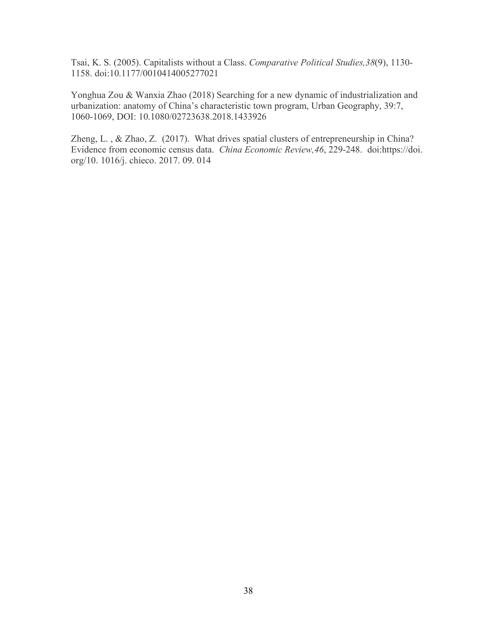Tsai, K. S. (2005). Capitalists without a Class. *Comparative Political Studies,38*(9), 1130- 1158. doi:10.1177/0010414005277021

Yonghua Zou & Wanxia Zhao (2018) Searching for a new dynamic of industrialization and urbanization: anatomy of China's characteristic town program, Urban Geography, 39:7, 1060-1069, DOI: 10.1080/02723638.2018.1433926

Zheng, L. , & Zhao, Z. (2017). What drives spatial clusters of entrepreneurship in China? Evidence from economic census data. *China Economic Review,46*, 229-248. doi:https://doi. org/10. 1016/j. chieco. 2017. 09. 014